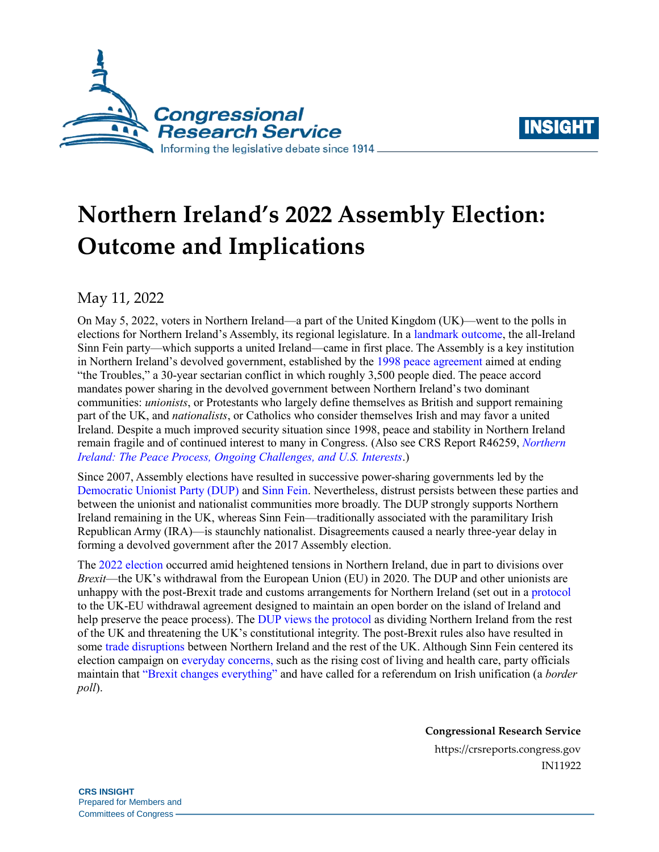



# **Northern Ireland's 2022 Assembly Election: Outcome and Implications**

May 11, 2022

On May 5, 2022, voters in Northern Ireland—a part of the United Kingdom (UK)—went to the polls in elections for Northern Ireland's Assembly, its regional legislature. In [a landmark outcome,](https://www.bbc.com/news/uk-northern-ireland-61355419) the all-Ireland Sinn Fein party—which supports a united Ireland—came in first place. The Assembly is a key institution in Northern Ireland's devolved government, established by the [1998 peace agreement](http://cain.ulst.ac.uk/events/peace/docs/agreement.htm) aimed at ending "the Troubles," a 30-year sectarian conflict in which roughly 3,500 people died. The peace accord mandates power sharing in the devolved government between Northern Ireland's two dominant communities: *unionists*, or Protestants who largely define themselves as British and support remaining part of the UK, and *nationalists*, or Catholics who consider themselves Irish and may favor a united Ireland. Despite a much improved security situation since 1998, peace and stability in Northern Ireland remain fragile and of continued interest to many in Congress. (Also see CRS Report R46259, *[Northern](https://crsreports.congress.gov/product/pdf/R/R46259)  [Ireland: The Peace Process, Ongoing Challenges, and U.S. Interests](https://crsreports.congress.gov/product/pdf/R/R46259)*.)

Since 2007, Assembly elections have resulted in successive power-sharing governments led by the [Democratic Unionist Party \(DUP\)](https://mydup.com/) and [Sinn Fein.](https://www.sinnfein.ie/) Nevertheless, distrust persists between these parties and between the unionist and nationalist communities more broadly. The DUP strongly supports Northern Ireland remaining in the UK, whereas Sinn Fein—traditionally associated with the paramilitary Irish Republican Army (IRA)—is staunchly nationalist. Disagreements caused a nearly three-year delay in forming a devolved government after the 2017 Assembly election.

The 2022 [election](https://www.irishtimes.com/news/politics/northern-ireland-election-this-could-be-the-most-important-in-a-generation-1.4853022) occurred amid heightened tensions in Northern Ireland, due in part to divisions over *Brexit*—the UK's withdrawal from the European Union (EU) in 2020. The DUP and other unionists are unhappy with the post-Brexit trade and customs arrangements for Northern Ireland (set out in a [protocol](https://www.nidirect.gov.uk/articles/eu-exit-and-northern-ireland-protocol#:~:text=The%20NI%20Protocol&text=The%20protocol%20aims%20to%3A,the%20UK%20and%20third%20countries) to the UK-EU withdrawal agreement designed to maintain an open border on the island of Ireland and help preserve the peace process). The DUP views [the protocol](https://www.bbc.com/news/uk-northern-ireland-61366306) as dividing Northern Ireland from the rest of the UK and threatening the UK's constitutional integrity. The post-Brexit rules also have resulted in some [trade disruptions](https://www.economist.com/britain/2021/09/04/for-northern-ireland-brexit-means-red-tape-and-subsidies) between Northern Ireland and the rest of the UK. Although Sinn Fein centered its election campaign on [everyday concerns,](https://www.irishnews.com/news/northernirelandnews/2022/04/26/news/sinn-fe-in-manifesto-prioritises-bread-and-butter-issues-but-keeps-irish-unity-on-the-agenda-2651952/) such as the rising cost of living and health care, party officials maintain that ["Brexit changes](https://www.sinnfein.ie/files/2016/Towards-a-United-Ireland.pdf) everything" and have called for a referendum on Irish unification (a *border poll*).

**Congressional Research Service**

https://crsreports.congress.gov IN11922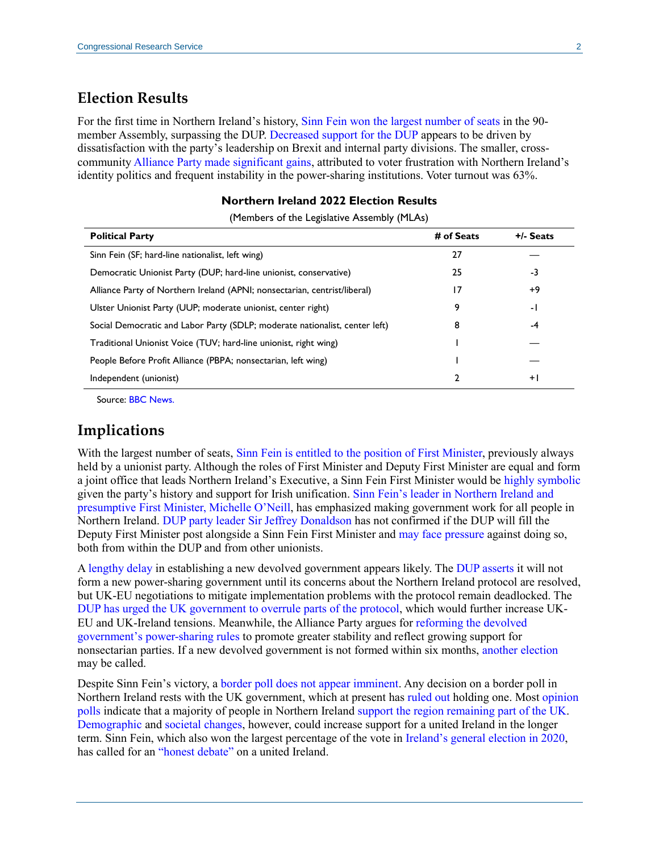### **Election Results**

For the first time in Northern Ireland's history, [Sinn Fein won the largest number of seats](https://www.npr.org/2022/05/07/1097417453/sinn-fein-wins-assembly-election-northern-ireland) in the 90 member Assembly, surpassing the DUP. [Decreased support for the DUP](https://www.nytimes.com/2022/05/07/world/europe/northern-ireland-sinn-fein.html) appears to be driven by dissatisfaction with the party's leadership on Brexit and internal party divisions. The smaller, crosscommunit[y Alliance Party made significant gains,](https://www.bbc.com/news/uk-northern-ireland-61366589) attributed to voter frustration with Northern Ireland's identity politics and frequent instability in the power-sharing institutions. Voter turnout was 63%.

#### **Northern Ireland 2022 Election Results**

| <b>Political Party</b>                                                      | # of Seats | +/- Seats |
|-----------------------------------------------------------------------------|------------|-----------|
| Sinn Fein (SF; hard-line nationalist, left wing)                            | 27         |           |
| Democratic Unionist Party (DUP; hard-line unionist, conservative)           | 25         | -3        |
| Alliance Party of Northern Ireland (APNI; nonsectarian, centrist/liberal)   | 17         | $+9$      |
| Ulster Unionist Party (UUP; moderate unionist, center right)                | 9          | - 1       |
| Social Democratic and Labor Party (SDLP; moderate nationalist, center left) | 8          | -4        |
| Traditional Unionist Voice (TUV; hard-line unionist, right wing)            |            |           |
| People Before Profit Alliance (PBPA; nonsectarian, left wing)               |            |           |
| Independent (unionist)                                                      | 2          | $+$       |

(Members of the Legislative Assembly (MLAs)

Source: [BBC News.](https://www.bbc.com/news/election/2022/northern-ireland/results)

### **Implications**

With the largest number of seats, Sinn Fein is entitled to [the position of First Minister,](https://www.bbc.com/news/uk-northern-ireland-60786728) previously always held by a unionist party. Although the roles of First Minister and Deputy First Minister are equal and form a joint office that leads Northern Ireland's Executive, a Sinn Fein First Minister would be [highly symbolic](https://www.theguardian.com/politics/2022/may/06/sinn-fein-northern-ireland-stormont-assembly-election-results) given the party's history and support for Irish unification. [Sinn Fein's leader in Northern Ireland](https://apnews.com/article/business-europe-ireland-northern-belfast-ab45c4ca47a3258d807b33449bff01c2) and presumptive [First Minister, Michelle O'Neill,](https://apnews.com/article/business-europe-ireland-northern-belfast-ab45c4ca47a3258d807b33449bff01c2) has emphasized making government work for all people in Northern Ireland. [DUP party leader Sir Jeffrey](https://www.politico.eu/article/sinn-fein-northern-ireland-assembly-election-dup-jeffrey-donaldson-michelle-o-neill-power-sharing-brexit/) Donaldson has not confirmed if the DUP will fill the Deputy First Minister post alongside a Sinn Fein First Minister and [may face pressure](https://www.irishtimes.com/news/politics/significantly-and-symbolically-damaging-election-for-unionism-1.4872483) against doing so, both from within the DUP and from other unionists.

A [lengthy delay](https://www.irishtimes.com/news/ireland/irish-news/michelle-o-neill-s-election-as-ni-s-next-first-minister-unlikely-to-be-swift-1.4872701?mode=sample&auth-failed=1&pw-origin=https%3A%2F%2Fwww.irishtimes.com%2Fnews%2Fireland%2Firish-news%2Fmichelle-o-neill-s-election-as-ni-s-next-first-minister-unlikely-to-be-swift-1.4872701) in establishing a new devolved government appears likely. The [DUP asserts](https://www.bbc.com/news/uk-northern-ireland-61373504) it will not form a new power-sharing government until its concerns about the Northern Ireland protocol are resolved, but UK-EU negotiations to mitigate implementation problems with the protocol remain deadlocked. The [DUP has urged the UK government to overrule parts of](https://www.reuters.com/world/europe/uk-must-act-unilaterally-if-nireland-protocol-not-replaced-quickly-dup-leader-2022-04-28/) the protocol, which would further increase UK-EU and UK-Ireland tensions. Meanwhile, the Alliance Party argues for [reforming](https://www.bbc.com/news/uk-northern-ireland-61362593) the devolved [government's power-sharing rules](https://www.bbc.com/news/uk-northern-ireland-61362593) to promote greater stability and reflect growing support for nonsectarian parties. If a new devolved government is not formed within six months, [another](https://www.theguardian.com/uk-news/2022/may/07/northern-ireland-elections-what-happens-next) election may be called.

Despite Sinn Fein's victory, a [border poll does not appear imminent.](https://www.irishtimes.com/news/politics/q-a-will-michelle-o-neill-become-first-minister-after-historic-election-1.4872537) Any decision on a border poll in Northern Ireland rests with the UK government, which at present ha[s ruled out](https://www.itv.com/news/utv/2022-05-08/lewis-tells-dup-to-reform-executive-and-appears-to-rule-out-border-poll) holding one. Most [opinion](https://www.irishtimes.com/news/politics/majority-of-people-in-north-would-vote-to-remain-in-uk-in-referendum-survey-1.4753475?mode=sample&auth-failed=1&pw-origin=https%3A%2F%2Fwww.irishtimes.com%2Fnews%2Fpolitics%2Fmajority-of-people-in-north-would-vote-to-remain-in-uk-in-referendum-survey-1.4753475)  [polls](https://www.irishtimes.com/news/politics/majority-of-people-in-north-would-vote-to-remain-in-uk-in-referendum-survey-1.4753475?mode=sample&auth-failed=1&pw-origin=https%3A%2F%2Fwww.irishtimes.com%2Fnews%2Fpolitics%2Fmajority-of-people-in-north-would-vote-to-remain-in-uk-in-referendum-survey-1.4753475) indicate that a majority of people in Northern Ireland [support the region remaining](https://www.irishnews.com/news/northernirelandnews/2022/04/05/news/nationalists-urged-not-to-be-disheartened-by-poll-support-for-united-ireland-2633602/) part of the UK. [Demographic](https://www.bbc.com/news/uk-northern-ireland-60190849) and [societal changes,](https://www.rte.ie/brainstorm/2021/0517/1222064-northern-ireland-future-unionism-nationalism-united-ireland/) however, could increase support for a united Ireland in the longer term. Sinn Fein, which also won the largest percentage of the vote in [Ireland's general](https://www.politico.eu/article/sinn-fein-surge-makes-irish-political-history-irish-election-3-way-tie/) election in 2020, has called for an ["honest debate"](https://www.reuters.com/world/uk/sinn-fein-calls-united-ireland-debate-after-historic-election-win-2022-05-07/) on a united Ireland.